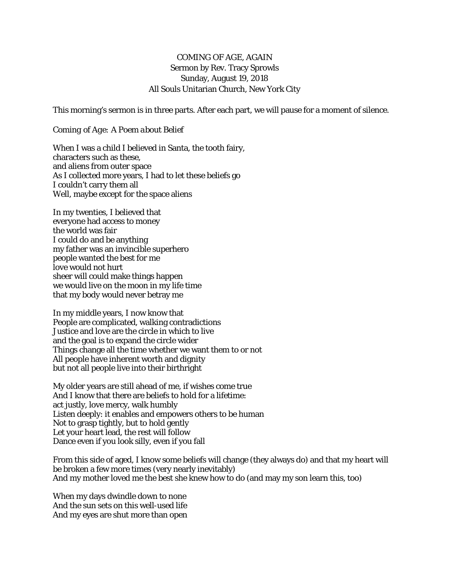## COMING OF AGE, AGAIN Sermon by Rev. Tracy Sprowls Sunday, August 19, 2018 All Souls Unitarian Church, New York City

This morning's sermon is in three parts. After each part, we will pause for a moment of silence.

## *Coming of Age: A Poem about Belief*

When I was a child I believed in Santa, the tooth fairy, characters such as these, and aliens from outer space As I collected more years, I had to let these beliefs go I couldn't carry them all Well, maybe except for the space aliens

In my twenties, I believed that everyone had access to money the world was fair I could do and be anything my father was an invincible superhero people wanted the best for me love would not hurt sheer will could make things happen we would live on the moon in my life time that my body would never betray me

In my middle years, I now know that People are complicated, walking contradictions Justice and love are the circle in which to live and the goal is to expand the circle wider Things change all the time whether we want them to or not All people have inherent worth and dignity but not all people live into their birthright

My older years are still ahead of me, if wishes come true And I know that there are beliefs to hold for a lifetime: act justly, love mercy, walk humbly Listen deeply: it enables and empowers others to be human Not to grasp tightly, but to hold gently Let your heart lead, the rest will follow Dance even if you look silly, even if you fall

From this side of aged, I know some beliefs will change (they always do) and that my heart will be broken a few more times (very nearly inevitably) And my mother loved me the best she knew how to do (and may my son learn this, too)

When my days dwindle down to none And the sun sets on this well-used life And my eyes are shut more than open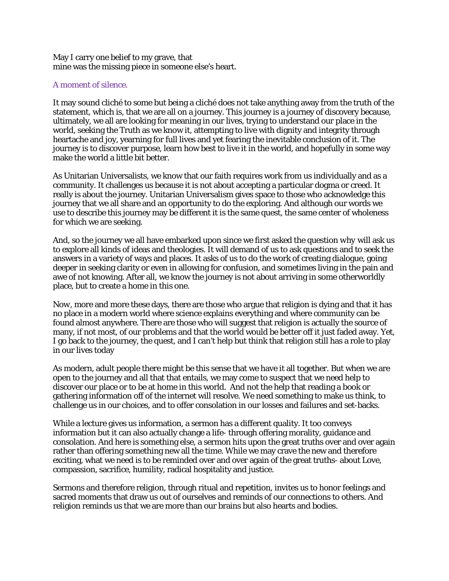May I carry one belief to my grave, that mine was the missing piece in someone else's heart.

## A moment of silence.

It may sound cliché to some but being a cliché does not take anything away from the truth of the statement, which is, that we are all on a journey. This journey is a journey of discovery because, ultimately, we all are looking for meaning in our lives, trying to understand our place in the world, seeking the Truth as we know it, attempting to live with dignity and integrity through heartache and joy, yearning for full lives and yet fearing the inevitable conclusion of it. The journey is to discover purpose, learn how best to live it in the world, and hopefully in some way make the world a little bit better.

As Unitarian Universalists, we know that our faith requires work from us individually and as a community. It challenges us because it is not about accepting a particular dogma or creed. It really is about the journey. Unitarian Universalism gives space to those who acknowledge this journey that we all share and an opportunity to do the exploring. And although our words we use to describe this journey may be different it is the same quest, the same center of wholeness for which we are seeking.

And, so the journey we all have embarked upon since we first asked the question *why* will ask us to explore all kinds of ideas and theologies. It will demand of us to ask questions and to seek the answers in a variety of ways and places. It asks of us to do the work of creating dialogue, going deeper in seeking clarity or even in allowing for confusion, and sometimes living in the pain and awe of not knowing. After all, we know the journey is not about arriving in some otherworldly place, but to create a home in this one.

*Now*, more and more these days, there are those who argue that religion is dying and that it has no place in a modern world where science explains everything and where community can be found almost anywhere. There are those who will suggest that religion is actually the source of many, if not most, of our problems and that the world would be better off it just faded away. Yet, I go back to the journey, the quest, and I can't help but think that religion still has a role to play in our lives today

As modern, adult people there might be this sense that we have it all together. But when we are open to the journey and all that that entails, we may come to suspect that we need help to discover our place or to be at home in this world. And not the help that reading a book or gathering information off of the internet will resolve. We need something to make us think, to challenge us in our choices, and to offer consolation in our losses and failures and set-backs.

While a lecture gives us information, a sermon has a different quality. It too conveys information but it can also actually change a life- through offering morality, guidance and consolation. And here is something else, a sermon hits upon the great truths over and over again rather than offering something new all the time. While we may crave the new and therefore exciting, what we need is to be reminded over and over again of the great truths- about Love, compassion, sacrifice, humility, radical hospitality and justice.

Sermons and therefore religion, through ritual and repetition, invites us to honor feelings and sacred moments that draw us out of ourselves and reminds of our connections to others. And religion reminds us that we are more than our brains but also hearts and bodies.